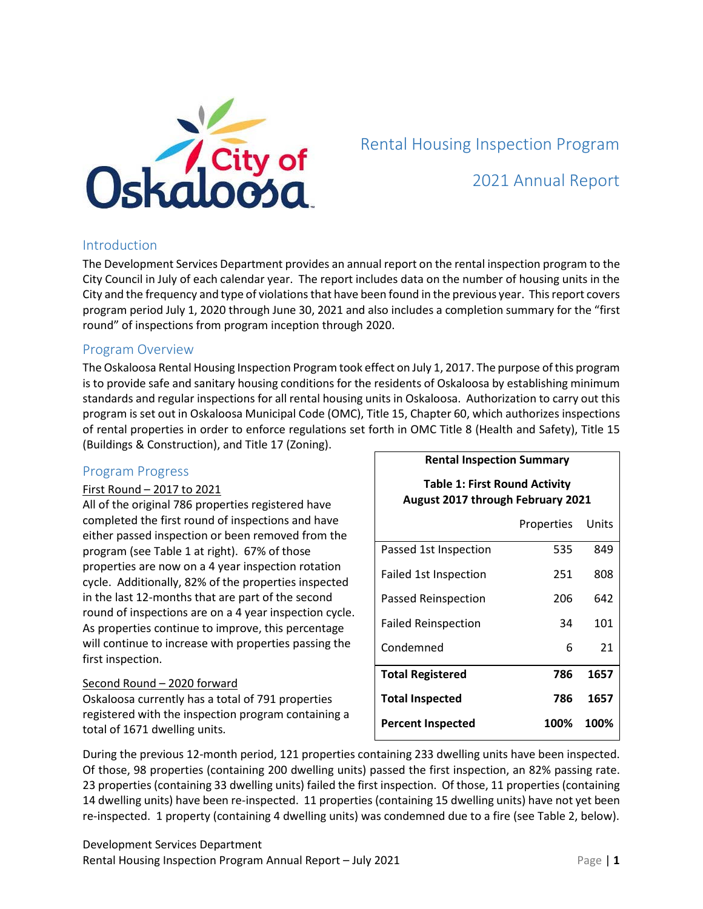

## Rental Housing Inspection Program

## 2021 Annual Report

#### Introduction

The Development Services Department provides an annual report on the rental inspection program to the City Council in July of each calendar year. The report includes data on the number of housing units in the City and the frequency and type of violations that have been found in the previous year. This report covers program period July 1, 2020 through June 30, 2021 and also includes a completion summary for the "first round" of inspections from program inception through 2020.

#### Program Overview

The Oskaloosa Rental Housing Inspection Program took effect on July 1, 2017. The purpose of this program is to provide safe and sanitary housing conditions for the residents of Oskaloosa by establishing minimum standards and regular inspections for all rental housing units in Oskaloosa. Authorization to carry out this program is set out in Oskaloosa Municipal Code (OMC), Title 15, Chapter 60, which authorizes inspections of rental properties in order to enforce regulations set forth in OMC Title 8 (Health and Safety), Title 15 (Buildings & Construction), and Title 17 (Zoning).

### Program Progress

#### First Round – 2017 to 2021

All of the original 786 properties registered have completed the first round of inspections and have either passed inspection or been removed from the program (see Table 1 at right). 67% of those properties are now on a 4 year inspection rotation cycle. Additionally, 82% of the properties inspected in the last 12-months that are part of the second round of inspections are on a 4 year inspection cycle. As properties continue to improve, this percentage will continue to increase with properties passing the first inspection.

#### Second Round – 2020 forward

Oskaloosa currently has a total of 791 properties registered with the inspection program containing a total of 1671 dwelling units.

# **Table 1: First Round Activity August 2017 through February 2021** Properties Units Passed 1st Inspection 535 849 Failed 1st Inspection 251 808 Passed Reinspection 206 642 Failed Reinspection 34 101 Condemned 6 21 **Total Registered 786 1657 Total Inspected 786 1657 Percent Inspected 100% 100%**

**Rental Inspection Summary**

During the previous 12-month period, 121 properties containing 233 dwelling units have been inspected. Of those, 98 properties (containing 200 dwelling units) passed the first inspection, an 82% passing rate. 23 properties (containing 33 dwelling units) failed the first inspection. Of those, 11 properties (containing 14 dwelling units) have been re-inspected. 11 properties (containing 15 dwelling units) have not yet been re-inspected. 1 property (containing 4 dwelling units) was condemned due to a fire (see Table 2, below).